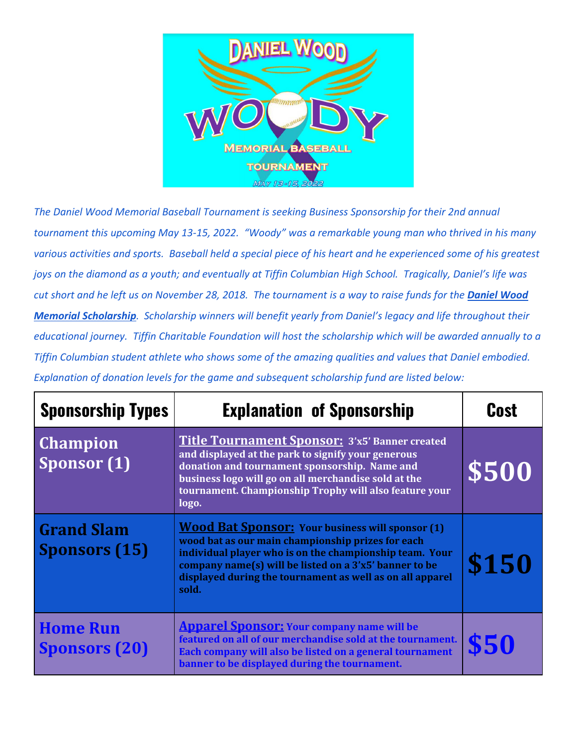

*The Daniel Wood Memorial Baseball Tournament is seeking Business Sponsorship for their 2nd annual tournament this upcoming May 13-15, 2022. "Woody" was a remarkable young man who thrived in his many various activities and sports. Baseball held a special piece of his heart and he experienced some of his greatest joys on the diamond as a youth; and eventually at Tiffin Columbian High School. Tragically, Daniel's life was cut short and he left us on November 28, 2018. The tournament is a way to raise funds for the Daniel Wood Memorial Scholarship. Scholarship winners will benefit yearly from Daniel's legacy and life throughout their educational journey. Tiffin Charitable Foundation will host the scholarship which will be awarded annually to a Tiffin Columbian student athlete who shows some of the amazing qualities and values that Daniel embodied. Explanation of donation levels for the game and subsequent scholarship fund are listed below:*

| <b>Sponsorship Types</b>                  | <b>Explanation of Sponsorship</b>                                                                                                                                                                                                                                                                       | <b>Cost</b> |
|-------------------------------------------|---------------------------------------------------------------------------------------------------------------------------------------------------------------------------------------------------------------------------------------------------------------------------------------------------------|-------------|
| <b>Champion</b><br>Sponsor (1)            | <b>Title Tournament Sponsor: 3'x5' Banner created</b><br>and displayed at the park to signify your generous<br>donation and tournament sponsorship. Name and<br>business logo will go on all merchandise sold at the<br>tournament. Championship Trophy will also feature your<br>logo.                 | \$500       |
| <b>Grand Slam</b><br><b>Sponsors (15)</b> | <b>Wood Bat Sponsor:</b> Your business will sponsor (1)<br>wood bat as our main championship prizes for each<br>individual player who is on the championship team. Your<br>company name(s) will be listed on a 3'x5' banner to be<br>displayed during the tournament as well as on all apparel<br>sold. | \$150       |
| <b>Home Run</b><br><b>Sponsors (20)</b>   | <b>Apparel Sponsor:</b> Your company name will be<br>featured on all of our merchandise sold at the tournament.<br>Each company will also be listed on a general tournament<br>banner to be displayed during the tournament.                                                                            | \$50        |